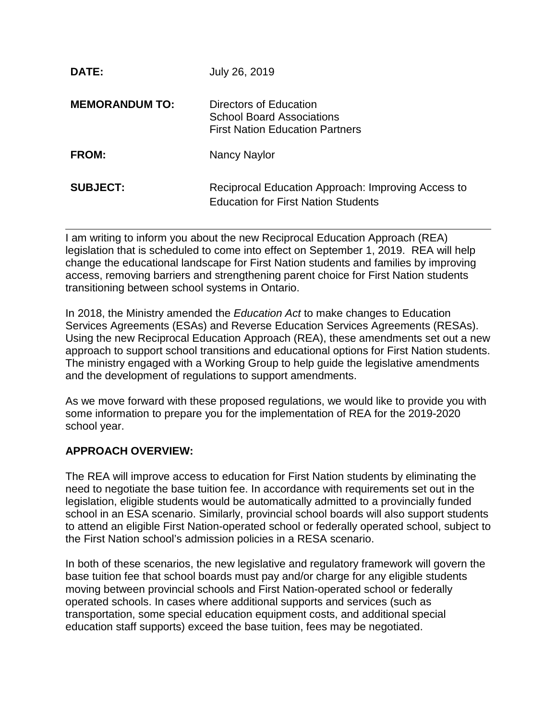| <b>DATE:</b>          | July 26, 2019                                                                                        |
|-----------------------|------------------------------------------------------------------------------------------------------|
| <b>MEMORANDUM TO:</b> | Directors of Education<br><b>School Board Associations</b><br><b>First Nation Education Partners</b> |
| <b>FROM:</b>          | Nancy Naylor                                                                                         |
| <b>SUBJECT:</b>       | Reciprocal Education Approach: Improving Access to<br><b>Education for First Nation Students</b>     |

I am writing to inform you about the new Reciprocal Education Approach (REA) legislation that is scheduled to come into effect on September 1, 2019. REA will help change the educational landscape for First Nation students and families by improving access, removing barriers and strengthening parent choice for First Nation students transitioning between school systems in Ontario.

In 2018, the Ministry amended the *Education Act* to make changes to Education Services Agreements (ESAs) and Reverse Education Services Agreements (RESAs). Using the new Reciprocal Education Approach (REA), these amendments set out a new approach to support school transitions and educational options for First Nation students. The ministry engaged with a Working Group to help guide the legislative amendments and the development of regulations to support amendments.

As we move forward with these proposed regulations, we would like to provide you with some information to prepare you for the implementation of REA for the 2019-2020 school year.

#### **APPROACH OVERVIEW:**

The REA will improve access to education for First Nation students by eliminating the need to negotiate the base tuition fee. In accordance with requirements set out in the legislation, eligible students would be automatically admitted to a provincially funded school in an ESA scenario. Similarly, provincial school boards will also support students to attend an eligible First Nation-operated school or federally operated school, subject to the First Nation school's admission policies in a RESA scenario.

In both of these scenarios, the new legislative and regulatory framework will govern the base tuition fee that school boards must pay and/or charge for any eligible students moving between provincial schools and First Nation-operated school or federally operated schools. In cases where additional supports and services (such as transportation, some special education equipment costs, and additional special education staff supports) exceed the base tuition, fees may be negotiated.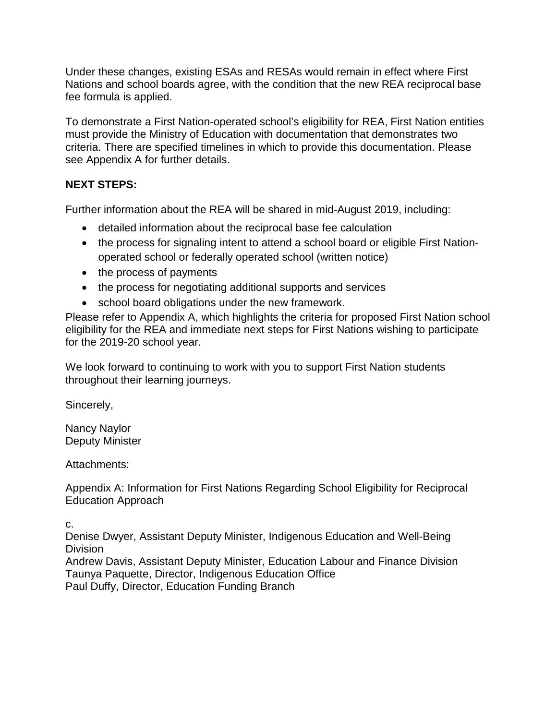Under these changes, existing ESAs and RESAs would remain in effect where First Nations and school boards agree, with the condition that the new REA reciprocal base fee formula is applied.

To demonstrate a First Nation-operated school's eligibility for REA, First Nation entities must provide the Ministry of Education with documentation that demonstrates two criteria. There are specified timelines in which to provide this documentation. Please see Appendix A for further details.

#### **NEXT STEPS:**

Further information about the REA will be shared in mid-August 2019, including:

- detailed information about the reciprocal base fee calculation
- the process for signaling intent to attend a school board or eligible First Nationoperated school or federally operated school (written notice)
- the process of payments
- the process for negotiating additional supports and services
- school board obligations under the new framework.

Please refer to Appendix A, which highlights the criteria for proposed First Nation school eligibility for the REA and immediate next steps for First Nations wishing to participate for the 2019-20 school year.

We look forward to continuing to work with you to support First Nation students throughout their learning journeys.

Sincerely,

Nancy Naylor Deputy Minister

Attachments:

Appendix A: Information for First Nations Regarding School Eligibility for Reciprocal Education Approach

c.

Denise Dwyer, Assistant Deputy Minister, Indigenous Education and Well-Being Division

Andrew Davis, Assistant Deputy Minister, Education Labour and Finance Division Taunya Paquette, Director, Indigenous Education Office Paul Duffy, Director, Education Funding Branch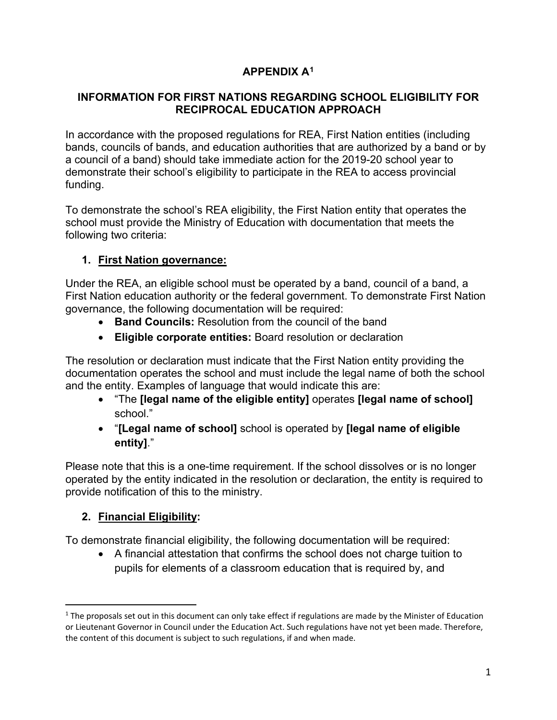# **APPENDIX A1**

#### **INFORMATION FOR FIRST NATIONS REGARDING SCHOOL ELIGIBILITY FOR RECIPROCAL EDUCATION APPROACH**

In accordance with the proposed regulations for REA, First Nation entities (including bands, councils of bands, and education authorities that are authorized by a band or by a council of a band) should take immediate action for the 2019-20 school year to demonstrate their school's eligibility to participate in the REA to access provincial funding.

To demonstrate the school's REA eligibility, the First Nation entity that operates the school must provide the Ministry of Education with documentation that meets the following two criteria:

# **1. First Nation governance:**

Under the REA, an eligible school must be operated by a band, council of a band, a First Nation education authority or the federal government. To demonstrate First Nation governance, the following documentation will be required:

- **Band Councils:** Resolution from the council of the band
- **Eligible corporate entities:** Board resolution or declaration

The resolution or declaration must indicate that the First Nation entity providing the documentation operates the school and must include the legal name of both the school and the entity. Examples of language that would indicate this are:

- "The **[legal name of the eligible entity]** operates **[legal name of school]** school."
- "**[Legal name of school]** school is operated by **[legal name of eligible entity]**."

Please note that this is a one-time requirement. If the school dissolves or is no longer operated by the entity indicated in the resolution or declaration, the entity is required to provide notification of this to the ministry.

# **2. Financial Eligibility:**

To demonstrate financial eligibility, the following documentation will be required:

• A financial attestation that confirms the school does not charge tuition to pupils for elements of a classroom education that is required by, and

 $1$  The proposals set out in this document can only take effect if regulations are made by the Minister of Education or Lieutenant Governor in Council under the Education Act. Such regulations have not yet been made. Therefore, the content of this document is subject to such regulations, if and when made.